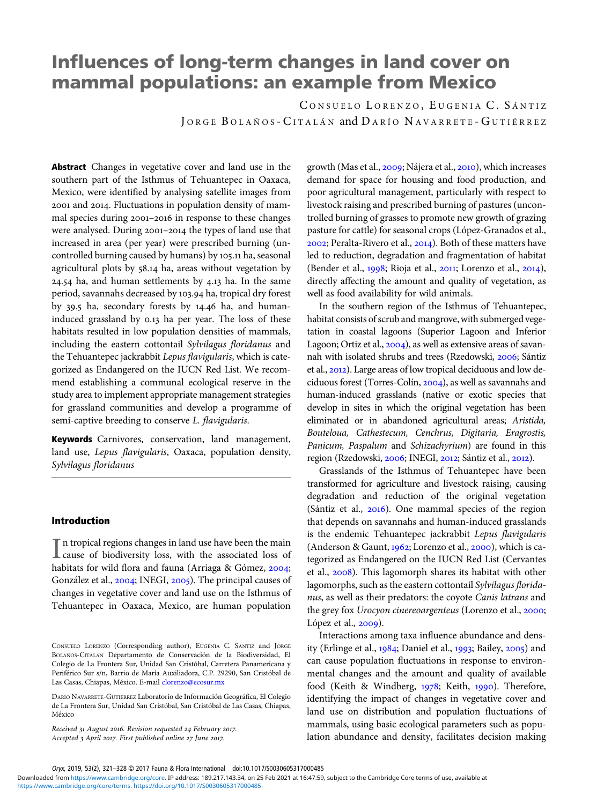# Influences of long-term changes in land cover on mammal populations: an example from Mexico

CONSUELO LORENZO, EUGENIA C. SÁNTIZ JORGE BOLAÑOS - CITALÁN and DARÍO NAVARRETE - GUTIÉRREZ

Abstract Changes in vegetative cover and land use in the southern part of the Isthmus of Tehuantepec in Oaxaca, Mexico, were identified by analysing satellite images from 2001 and 2014. Fluctuations in population density of mammal species during 2001-2016 in response to these changes were analysed. During 2001-2014 the types of land use that increased in area (per year) were prescribed burning (uncontrolled burning caused by humans) by 105.11 ha, seasonal agricultural plots by 58.14 ha, areas without vegetation by  $24.54$  ha, and human settlements by  $4.13$  ha. In the same period, savannahs decreased by 103.94 ha, tropical dry forest by 39.5 ha, secondary forests by 14.46 ha, and humaninduced grassland by 0.13 ha per year. The loss of these habitats resulted in low population densities of mammals, including the eastern cottontail Sylvilagus floridanus and the Tehuantepec jackrabbit Lepus flavigularis, which is categorized as Endangered on the IUCN Red List. We recommend establishing a communal ecological reserve in the study area to implement appropriate management strategies for grassland communities and develop a programme of semi-captive breeding to conserve L. flavigularis.

Keywords Carnivores, conservation, land management, land use, Lepus flavigularis, Oaxaca, population density, Sylvilagus floridanus

## Introduction

 $\prod$ n tropical regions changes in land use have been the main<br>cause of biodiversity loss, with the associated loss of cause of biodiversity loss, with the associated loss of habitats for wild flora and fauna (Arriaga & Gómez, 2004; González et al., 2004; INEGI, 2005). The principal causes of changes in vegetative cover and land use on the Isthmus of Tehuantepec in Oaxaca, Mexico, are human population

Received 31 August 2016. Revision requested 24 February 2017. Accepted 3 April 2017. First published online 27 June 2017.

growth (Mas et al., 2009; Nájera et al., 2010), which increases demand for space for housing and food production, and poor agricultural management, particularly with respect to livestock raising and prescribed burning of pastures (uncontrolled burning of grasses to promote new growth of grazing pasture for cattle) for seasonal crops (López-Granados et al., 2002; Peralta-Rivero et al., 2014). Both of these matters have led to reduction, degradation and fragmentation of habitat (Bender et al., 1998; Rioja et al., 2011; Lorenzo et al., 2014), directly affecting the amount and quality of vegetation, as well as food availability for wild animals.

In the southern region of the Isthmus of Tehuantepec, habitat consists of scrub and mangrove, with submerged vegetation in coastal lagoons (Superior Lagoon and Inferior Lagoon; Ortiz et al.,  $2004$ ), as well as extensive areas of savannah with isolated shrubs and trees (Rzedowski, 2006; Sántiz et al., 2012). Large areas of low tropical deciduous and low deciduous forest (Torres-Colín, 2004), as well as savannahs and human-induced grasslands (native or exotic species that develop in sites in which the original vegetation has been eliminated or in abandoned agricultural areas; Aristida, Bouteloua, Cathestecum, Cenchrus, Digitaria, Eragrostis, Panicum, Paspalum and Schizachyrium) are found in this region (Rzedowski, 2006; INEGI, 2012; Sántiz et al., 2012).

Grasslands of the Isthmus of Tehuantepec have been transformed for agriculture and livestock raising, causing degradation and reduction of the original vegetation (Sántiz et al.,  $2016$ ). One mammal species of the region that depends on savannahs and human-induced grasslands is the endemic Tehuantepec jackrabbit Lepus flavigularis (Anderson & Gaunt, 1962; Lorenzo et al., 2000), which is categorized as Endangered on the IUCN Red List (Cervantes et al., 2008). This lagomorph shares its habitat with other lagomorphs, such as the eastern cottontail Sylvilagus floridanus, as well as their predators: the coyote Canis latrans and the grey fox Urocyon cinereoargenteus (Lorenzo et al., 2000; López et al., 2009).

Interactions among taxa influence abundance and density (Erlinge et al., 1984; Daniel et al., 1993; Bailey, 2005) and can cause population fluctuations in response to environmental changes and the amount and quality of available food (Keith & Windberg, 1978; Keith, 1990). Therefore, identifying the impact of changes in vegetative cover and land use on distribution and population fluctuations of mammals, using basic ecological parameters such as population abundance and density, facilitates decision making

CONSUELO LORENZO (Corresponding author), EUGENIA C. SÁNTIZ and JORGE BOLAÑOS-CITALÁN Departamento de Conservación de la Biodiversidad, El Colegio de La Frontera Sur, Unidad San Cristóbal, Carretera Panamericana y Periférico Sur s/n, Barrio de María Auxiliadora, C.P. 29290, San Cristóbal de Las Casas, Chiapas, México. E-mail [clorenzo@ecosur.mx](mailto:clorenzo@ecosur.mx)

DARÍO NAVARRETE-GUTIÉRREZ Laboratorio de Información Geográfica, El Colegio de La Frontera Sur, Unidad San Cristóbal, San Cristóbal de Las Casas, Chiapas, México

Oryx, 2019, 53(2), 321–328 © 2017 Fauna & Flora International doi:10.1017/S0030605317000485

[https://www.cambridge.org/core/terms.](https://www.cambridge.org/core/terms) <https://doi.org/10.1017/S0030605317000485> Downloaded from [https://www.cambridge.org/core.](https://www.cambridge.org/core) IP address: 189.217.143.34, on 25 Feb 2021 at 16:47:59, subject to the Cambridge Core terms of use, available at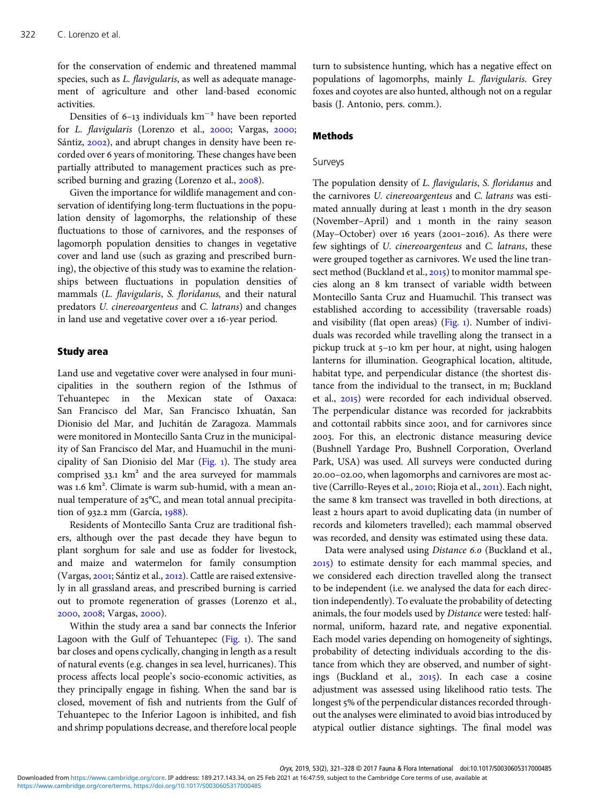for the conservation of endemic and threatened mammal species, such as L. flavigularis, as well as adequate management of agriculture and other land-based economic activities.

Densities of 6-13 individuals km<sup>-2</sup> have been reported for L. flavigularis (Lorenzo et al., 2000; Vargas, 2000; Sántiz, 2002), and abrupt changes in density have been recorded over 6 years of monitoring. These changes have been partially attributed to management practices such as prescribed burning and grazing (Lorenzo et al., 2008).

Given the importance for wildlife management and conservation of identifying long-term fluctuations in the population density of lagomorphs, the relationship of these fluctuations to those of carnivores, and the responses of lagomorph population densities to changes in vegetative cover and land use (such as grazing and prescribed burning), the objective of this study was to examine the relationships between fluctuations in population densities of mammals (L. flavigularis, S. floridanus, and their natural predators U. cinereoargenteus and C. latrans) and changes in land use and vegetative cover over a 16-year period.

## Study area

Land use and vegetative cover were analysed in four municipalities in the southern region of the Isthmus of Tehuantepec in the Mexican state of Oaxaca: San Francisco del Mar, San Francisco Ixhuatán, San Dionisio del Mar, and Juchitán de Zaragoza. Mammals were monitored in Montecillo Santa Cruz in the municipality of San Francisco del Mar, and Huamuchil in the municipality of San Dionisio del Mar ([Fig.](#page-2-0) ). The study area comprised  $33.1 \text{ km}^2$  and the area surveyed for mammals was 1.6 km<sup>2</sup>. Climate is warm sub-humid, with a mean annual temperature of  $25^{\circ}$ C, and mean total annual precipitation of 932.2 mm (García,  $1988$ ).

Residents of Montecillo Santa Cruz are traditional fishers, although over the past decade they have begun to plant sorghum for sale and use as fodder for livestock, and maize and watermelon for family consumption (Vargas, 2001; Sántiz et al., 2012). Cattle are raised extensively in all grassland areas, and prescribed burning is carried out to promote regeneration of grasses (Lorenzo et al., 2000, 2008; Vargas, 2000).

Within the study area a sand bar connects the Inferior Lagoon with the Gulf of Tehuantepec [\(Fig.](#page-2-0) 1). The sand bar closes and opens cyclically, changing in length as a result of natural events (e.g. changes in sea level, hurricanes). This process affects local people's socio-economic activities, as they principally engage in fishing. When the sand bar is closed, movement of fish and nutrients from the Gulf of Tehuantepec to the Inferior Lagoon is inhibited, and fish and shrimp populations decrease, and therefore local people turn to subsistence hunting, which has a negative effect on populations of lagomorphs, mainly L. flavigularis. Grey foxes and coyotes are also hunted, although not on a regular basis (J. Antonio, pers. comm.).

## Methods

# Surveys

The population density of L. flavigularis, S. floridanus and the carnivores U. cinereoargenteus and C. latrans was estimated annually during at least 1 month in the dry season (November–April) and 1 month in the rainy season (May-October) over 16 years (2001-2016). As there were few sightings of U. cinereoargenteus and C. latrans, these were grouped together as carnivores. We used the line transect method (Buckland et al., 2015) to monitor mammal species along an 8 km transect of variable width between Montecillo Santa Cruz and Huamuchil. This transect was established according to accessibility (traversable roads) and visibility (flat open areas) [\(Fig.](#page-2-0) ). Number of individuals was recorded while travelling along the transect in a pickup truck at 5-10 km per hour, at night, using halogen lanterns for illumination. Geographical location, altitude, habitat type, and perpendicular distance (the shortest distance from the individual to the transect, in m; Buckland et al., 2015) were recorded for each individual observed. The perpendicular distance was recorded for jackrabbits and cottontail rabbits since 2001, and for carnivores since . For this, an electronic distance measuring device (Bushnell Yardage Pro, Bushnell Corporation, Overland Park, USA) was used. All surveys were conducted during .–., when lagomorphs and carnivores are most active (Carrillo-Reyes et al., 2010; Rioja et al., 2011). Each night, the same 8 km transect was travelled in both directions, at least 2 hours apart to avoid duplicating data (in number of records and kilometers travelled); each mammal observed was recorded, and density was estimated using these data.

Data were analysed using Distance 6.0 (Buckland et al., ) to estimate density for each mammal species, and we considered each direction travelled along the transect to be independent (i.e. we analysed the data for each direction independently). To evaluate the probability of detecting animals, the four models used by Distance were tested: halfnormal, uniform, hazard rate, and negative exponential. Each model varies depending on homogeneity of sightings, probability of detecting individuals according to the distance from which they are observed, and number of sightings (Buckland et al., 2015). In each case a cosine adjustment was assessed using likelihood ratio tests. The longest 5% of the perpendicular distances recorded throughout the analyses were eliminated to avoid bias introduced by atypical outlier distance sightings. The final model was

Oryx, 2019, 53(2), 321–328 © 2017 Fauna & Flora International doi:10.1017/S0030605317000485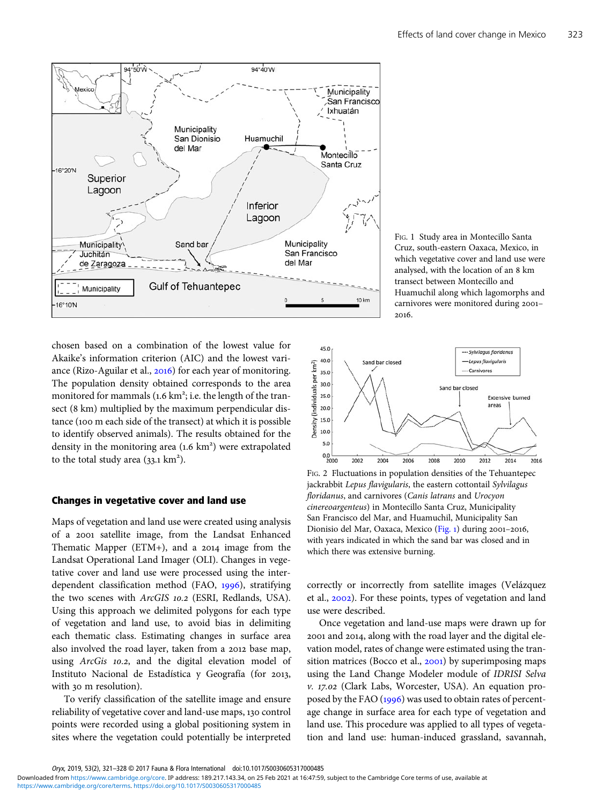<span id="page-2-0"></span>

chosen based on a combination of the lowest value for Akaike's information criterion (AIC) and the lowest variance (Rizo-Aguilar et al., 2016) for each year of monitoring. The population density obtained corresponds to the area monitored for mammals (1.6 km<sup>2</sup>; i.e. the length of the transect (8 km) multiplied by the maximum perpendicular distance (100 m each side of the transect) at which it is possible to identify observed animals). The results obtained for the density in the monitoring area (1.6 km<sup>2</sup>) were extrapolated to the total study area  $(33.1 \text{ km}^2)$ .

## Changes in vegetative cover and land use

Maps of vegetation and land use were created using analysis of a 2001 satellite image, from the Landsat Enhanced Thematic Mapper (ETM+), and a  $2014$  image from the Landsat Operational Land Imager (OLI). Changes in vegetative cover and land use were processed using the interdependent classification method (FAO, 1996), stratifying the two scenes with ArcGIS 10.2 (ESRI, Redlands, USA). Using this approach we delimited polygons for each type of vegetation and land use, to avoid bias in delimiting each thematic class. Estimating changes in surface area also involved the road layer, taken from a 2012 base map, using ArcGis 10.2, and the digital elevation model of Instituto Nacional de Estadística y Geografía (for 2013, with 30 m resolution).

To verify classification of the satellite image and ensure reliability of vegetative cover and land-use maps, 130 control points were recorded using a global positioning system in sites where the vegetation could potentially be interpreted

FIG. 1 Study area in Montecillo Santa Cruz, south-eastern Oaxaca, Mexico, in which vegetative cover and land use were analysed, with the location of an 8 km transect between Montecillo and Huamuchil along which lagomorphs and carnivores were monitored during 2001-2016



FIG. 2 Fluctuations in population densities of the Tehuantepec jackrabbit Lepus flavigularis, the eastern cottontail Sylvilagus floridanus, and carnivores (Canis latrans and Urocyon cinereoargenteus) in Montecillo Santa Cruz, Municipality San Francisco del Mar, and Huamuchil, Municipality San Dionisio del Mar, Oaxaca, Mexico (Fig. 1) during 2001-2016, with years indicated in which the sand bar was closed and in which there was extensive burning.

correctly or incorrectly from satellite images (Velázquez et al., 2002). For these points, types of vegetation and land use were described.

Once vegetation and land-use maps were drawn up for 2001 and 2014, along with the road layer and the digital elevation model, rates of change were estimated using the transition matrices (Bocco et al.,  $2001$ ) by superimposing maps using the Land Change Modeler module of IDRISI Selva v. 17.02 (Clark Labs, Worcester, USA). An equation proposed by the FAO  $(1996)$  was used to obtain rates of percentage change in surface area for each type of vegetation and land use. This procedure was applied to all types of vegetation and land use: human-induced grassland, savannah,

Oryx, 2019, 53(2), 321–328 © 2017 Fauna & Flora International doi:10.1017/S0030605317000485

[https://www.cambridge.org/core/terms.](https://www.cambridge.org/core/terms) <https://doi.org/10.1017/S0030605317000485> Downloaded from [https://www.cambridge.org/core.](https://www.cambridge.org/core) IP address: 189.217.143.34, on 25 Feb 2021 at 16:47:59, subject to the Cambridge Core terms of use, available at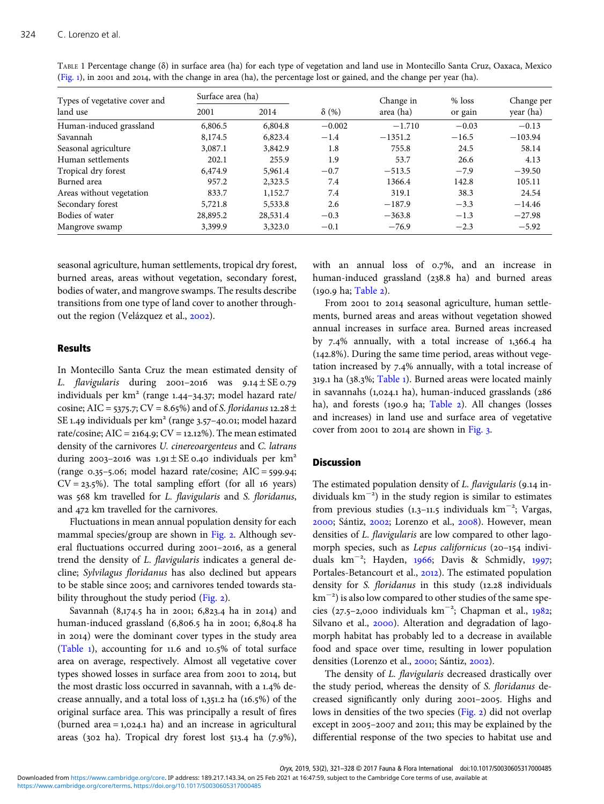| Types of vegetative cover and | Surface area (ha) |          |              | Change in | $%$ loss | Change per |
|-------------------------------|-------------------|----------|--------------|-----------|----------|------------|
| land use                      | 2001              | 2014     | $\delta$ (%) | area (ha) | or gain  | year (ha)  |
| Human-induced grassland       | 6,806.5           | 6,804.8  | $-0.002$     | $-1.710$  | $-0.03$  | $-0.13$    |
| Savannah                      | 8,174.5           | 6,823.4  | $-1.4$       | $-1351.2$ | $-16.5$  | $-103.94$  |
| Seasonal agriculture          | 3,087.1           | 3,842.9  | 1.8          | 755.8     | 24.5     | 58.14      |
| Human settlements             | 202.1             | 255.9    | 1.9          | 53.7      | 26.6     | 4.13       |
| Tropical dry forest           | 6,474.9           | 5,961.4  | $-0.7$       | $-513.5$  | $-7.9$   | $-39.50$   |
| Burned area                   | 957.2             | 2,323.5  | 7.4          | 1366.4    | 142.8    | 105.11     |
| Areas without vegetation      | 833.7             | 1,152.7  | 7.4          | 319.1     | 38.3     | 24.54      |
| Secondary forest              | 5,721.8           | 5,533.8  | 2.6          | $-187.9$  | $-3.3$   | $-14.46$   |
| Bodies of water               | 28,895.2          | 28,531.4 | $-0.3$       | $-363.8$  | $-1.3$   | $-27.98$   |
| Mangrove swamp                | 3,399.9           | 3,323.0  | $-0.1$       | $-76.9$   | $-2.3$   | $-5.92$    |

TABLE 1 Percentage change (δ) in surface area (ha) for each type of vegetation and land use in Montecillo Santa Cruz, Oaxaca, Mexico ([Fig.](#page-2-0) 1), in 2001 and 2014, with the change in area (ha), the percentage lost or gained, and the change per year (ha).

seasonal agriculture, human settlements, tropical dry forest, burned areas, areas without vegetation, secondary forest, bodies of water, and mangrove swamps. The results describe transitions from one type of land cover to another throughout the region (Velázquez et al., 2002).

## Results

In Montecillo Santa Cruz the mean estimated density of L. flavigularis during 2001-2016 was  $9.14 \pm \text{SE}$  0.79 individuals per  $km^2$  (range 1.44-34.37; model hazard rate/ cosine; AIC = 5375.7; CV = 8.65%) and of S. floridanus 12.28  $\pm$ SE 1.49 individuals per  $km<sup>2</sup>$  (range 3.57-40.01; model hazard rate/cosine;  $AIC = 2164.9$ ;  $CV = 12.12\%$ ). The mean estimated density of the carnivores U. cinereoargenteus and C. latrans during 2003-2016 was  $1.91 \pm \text{SE}$  0.40 individuals per km<sup>2</sup> (range  $0.35 - 5.06$ ; model hazard rate/cosine; AIC =  $599.94$ ;  $CV = 23.5\%$ ). The total sampling effort (for all 16 years) was 568 km travelled for L. flavigularis and S. floridanus, and  $472$  km travelled for the carnivores.

Fluctuations in mean annual population density for each mammal species/group are shown in [Fig.](#page-2-0) 2. Although several fluctuations occurred during 2001-2016, as a general trend the density of L. flavigularis indicates a general decline; Sylvilagus floridanus has also declined but appears to be stable since 2005; and carnivores tended towards sta-bility throughout the study period ([Fig.](#page-2-0) 2).

Savannah (8,174.5 ha in 2001; 6,823.4 ha in 2014) and human-induced grassland  $(6, 806.5$  ha in 2001;  $6, 804.8$  ha in 2014) were the dominant cover types in the study area (Table  $_1$ ), accounting for  $11.6$  and  $10.5\%$  of total surface area on average, respectively. Almost all vegetative cover types showed losses in surface area from 2001 to 2014, but the most drastic loss occurred in savannah, with a 1.4% decrease annually, and a total loss of  $1,351.2$  ha  $(16.5%)$  of the original surface area. This was principally a result of fires (burned area =  $1,024.1$  ha) and an increase in agricultural areas (302 ha). Tropical dry forest lost  $513.4$  ha (7.9%),

with an annual loss of  $0.7\%$ , and an increase in human-induced grassland (238.8 ha) and burned areas (190.9 ha; [Table](#page-4-0) 2).

From 2001 to 2014 seasonal agriculture, human settlements, burned areas and areas without vegetation showed annual increases in surface area. Burned areas increased by  $7.4\%$  annually, with a total increase of  $1,366.4$  ha  $(142.8\%)$ . During the same time period, areas without vegetation increased by  $7.4\%$  annually, with a total increase of  $319.1$  ha ( $38.3\%$ ; Table 1). Burned areas were located mainly in savannahs  $(1, 024.1)$  ha), human-induced grasslands  $(286)$ ha), and forests (190.9 ha; [Table](#page-4-0) 2). All changes (losses and increases) in land use and surface area of vegetative cover from  $2001$  to  $2014$  are shown in [Fig.](#page-5-0) 3.

# Discussion

The estimated population density of  $L$ . flavigularis (9.14 individuals km− ) in the study region is similar to estimates from previous studies  $(1.3-11.5)$  individuals km<sup>-2</sup>; Vargas, 2000; Sántiz, 2002; Lorenzo et al., 2008). However, mean densities of L. flavigularis are low compared to other lagomorph species, such as Lepus californicus (20-154 individuals km<sup>-2</sup>; Hayden, 1966; Davis & Schmidly, 1997; Portales-Betancourt et al., 2012). The estimated population density for S. floridanus in this study (12.28 individuals km<sup>-2</sup>) is also low compared to other studies of the same species (27.5-2,000 individuals km<sup>-2</sup>; Chapman et al., 1982; Silvano et al., 2000). Alteration and degradation of lagomorph habitat has probably led to a decrease in available food and space over time, resulting in lower population densities (Lorenzo et al., 2000; Sántiz, 2002).

The density of L. flavigularis decreased drastically over the study period, whereas the density of S. floridanus decreased significantly only during 2001-2005. Highs and lows in densities of the two species ([Fig.](#page-2-0) 2) did not overlap except in 2005-2007 and 2011; this may be explained by the differential response of the two species to habitat use and

Oryx, 2019, 53(2), 321–328 © 2017 Fauna & Flora International doi:10.1017/S0030605317000485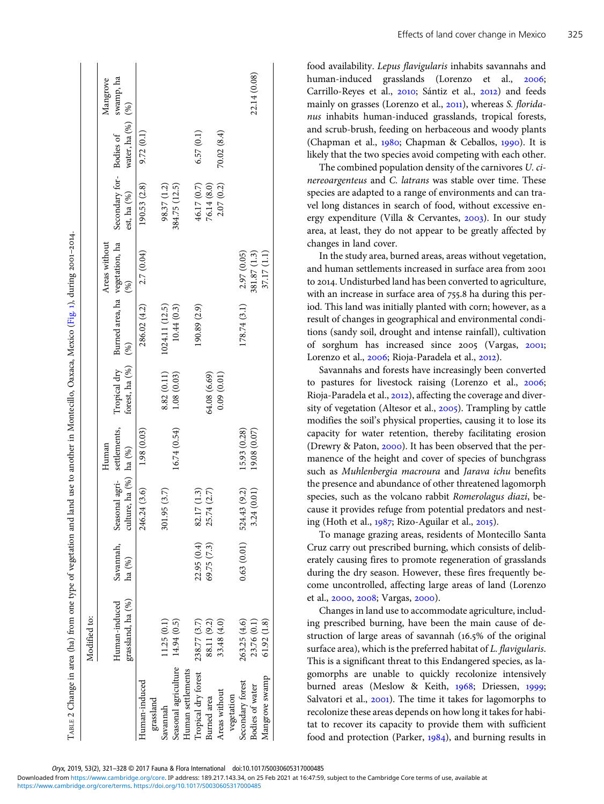|                      | Modified to:                       |                     |                                          |              |                                |                                          |               |                                        |                       |              |
|----------------------|------------------------------------|---------------------|------------------------------------------|--------------|--------------------------------|------------------------------------------|---------------|----------------------------------------|-----------------------|--------------|
|                      |                                    |                     |                                          | Human        |                                |                                          | Areas without |                                        |                       | Mangrove     |
|                      | grassland, ha (%)<br>Human-induced | Savannah,<br>ha (%) | culture, ha (%) ha (%)<br>Seasonal agri- | settlements, | Tropical dry<br>forest, ha (%) | Burned area, ha vegetation, ha<br>$(\%)$ | $(\%)$        | Secondary for-Bodies of<br>est, ha (%) | water, ha $(%)$ $(%)$ | swamp, ha    |
| Human-induced        |                                    |                     | 246.24 (3.6)                             | 1.98(0.03)   |                                | 286.02 (4.2)                             | 2.7 (0.04)    | (90.53(2.8))                           | 9.72(0.1)             |              |
| grassland            |                                    |                     |                                          |              |                                |                                          |               |                                        |                       |              |
| Savannah             | 1.25(0.1)                          |                     | 301.95 (3.7)                             |              | 8.82 (0.11)                    | 1024.11 (12.5)                           |               | 98.37 (1.2)                            |                       |              |
| Seasonal agriculture | 14.94 (0.5)                        |                     |                                          | 16.74 (0.54) | 1.08(0.03)                     | 10.44(0.3)                               |               | 384.75 (12.5)                          |                       |              |
| Human settlements    |                                    |                     |                                          |              |                                |                                          |               |                                        |                       |              |
| Tropical dry forest  | 238.77 (3.7)                       | 22.95 (0.4)         | 32.17 (1.3)                              |              |                                | 190.89 (2.9)                             |               | 46.17 (0.7)                            | 6.57(0.1)             |              |
| Burned area          | 88.11 (9.2)                        | 69.75 (7.3)         | 25.74 (2.7)                              |              | 64.08 (6.69)                   |                                          |               | 76.14 (8.0)                            |                       |              |
| Areas without        | 33.48 (4.0)                        |                     |                                          |              | 0.09(0.01)                     |                                          |               | 2.07 (0.2)                             | 70.02 (8.4)           |              |
| vegetation           |                                    |                     |                                          |              |                                |                                          |               |                                        |                       |              |
| Secondary forest     | 263.25 (4.6)                       | 0.63(0.01)          | 524.43 (9.2)                             | 15.93 (0.28) |                                | 178.74 (3.1)                             | 2.97 (0.05)   |                                        |                       |              |
| Bodies of water      | 23.76 (0.1)                        |                     | 3.24 (0.01)                              | 19.08 (0.07) |                                |                                          | 381.87 (1.3)  |                                        |                       | 22.14 (0.08) |
| Mangrove swamp       | 61.92(1.8)                         |                     |                                          |              |                                |                                          | 37.17 (1.1)   |                                        |                       |              |
|                      |                                    |                     |                                          |              |                                |                                          |               |                                        |                       |              |

TABLE 2 Change in area (ha) from one type of vegetation and land use to another in Montecillo, Oaxaca, Mexico (Fig. 1), during 2001-2014. ABLE 2 Change in area (ha) from one type of vegetation and land use to another in Montecillo, Oaxaca, Mexico [\(Fig.](#page-2-0) 1), during 2001-2014.

<span id="page-4-0"></span> $\mathbf{I}$  $\blacksquare$   $\overline{\phantom{a}}$ 

 $\mathbf{I}$ 

Oryx, 2019, 53(2), 321–328 © 2017 Fauna & Flora International doi:10.1017/S0030605317000485

[https://www.cambridge.org/core/terms.](https://www.cambridge.org/core/terms) <https://doi.org/10.1017/S0030605317000485> Downloaded from [https://www.cambridge.org/core.](https://www.cambridge.org/core) IP address: 189.217.143.34, on 25 Feb 2021 at 16:47:59, subject to the Cambridge Core terms of use, available at

Effects of land cover change in Mexico 325

food availability. Lepus flavigularis inhabits savannahs and human-induced grasslands (Lorenzo et al., 2006; Carrillo-Reyes et al., 2010; Sántiz et al., 2012) and feeds mainly on grasses (Lorenzo et al., 2011), whereas S. floridanus inhabits human-induced grasslands, tropical forests, and scrub-brush, feeding on herbaceous and woody plants (Chapman et al.,  $1980$ ; Chapman & Ceballos,  $1990$ ). It is likely that the two species avoid competing with each other.

The combined population density of the carnivores U. cinereoargenteus and C. latrans was stable over time. These species are adapted to a range of environments and can travel long distances in search of food, without excessive energy expenditure (Villa & Cervantes,  $2003$ ). In our study area, at least, they do not appear to be greatly affected by changes in land cover.

In the study area, burned areas, areas without vegetation, and human settlements increased in surface area from to 2014. Undisturbed land has been converted to agriculture, with an increase in surface area of  $755.8$  ha during this period. This land was initially planted with corn; however, as a result of changes in geographical and environmental conditions (sandy soil, drought and intense rainfall), cultivation of sorghum has increased since 2005 (Vargas, 2001; Lorenzo et al., 2006; Rioja-Paradela et al., 2012).

Savannahs and forests have increasingly been converted to pastures for livestock raising (Lorenzo et al., 2006; Rioja-Paradela et al., 2012), affecting the coverage and diversity of vegetation (Altesor et al., 2005). Trampling by cattle modifies the soil's physical properties, causing it to lose its capacity for water retention, thereby facilitating erosion (Drewry & Paton,  $2000$ ). It has been observed that the permanence of the height and cover of species of bunchgrass such as Muhlenbergia macroura and Jarava ichu benefits the presence and abundance of other threatened lagomorph species, such as the volcano rabbit Romerolagus diazi, because it provides refuge from potential predators and nesting (Hoth et al.,  $1987$ ; Rizo-Aguilar et al., 2015).

To manage grazing areas, residents of Montecillo Santa Cruz carry out prescribed burning, which consists of deliberately causing fires to promote regeneration of grasslands during the dry season. However, these fires frequently become uncontrolled, affecting large areas of land (Lorenzo et al., 2000, 2008; Vargas, 2000).

Changes in land use to accommodate agriculture, including prescribed burning, have been the main cause of destruction of large areas of savannah  $(16.5\%$  of the original surface area), which is the preferred habitat of L. flavigularis. This is a significant threat to this Endangered species, as lagomorphs are unable to quickly recolonize intensively burned areas (Meslow & Keith, 1968; Driessen, 1999; Salvatori et al., 2001). The time it takes for lagomorphs to recolonize these areas depends on how long it takes for habitat to recover its capacity to provide them with sufficient food and protection (Parker,  $1984$ ), and burning results in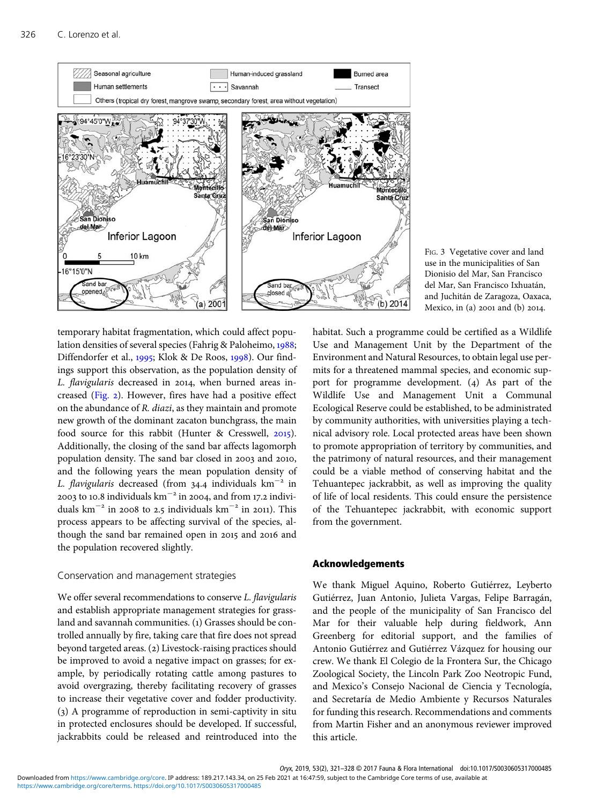<span id="page-5-0"></span>

temporary habitat fragmentation, which could affect population densities of several species (Fahrig & Paloheimo, 1988; Diffendorfer et al., 1995; Klok & De Roos, 1998). Our findings support this observation, as the population density of L. flavigularis decreased in 2014, when burned areas in-creased [\(Fig.](#page-2-0) 2). However, fires have had a positive effect on the abundance of R. diazi, as they maintain and promote new growth of the dominant zacaton bunchgrass, the main food source for this rabbit (Hunter & Cresswell,  $2015$ ). Additionally, the closing of the sand bar affects lagomorph population density. The sand bar closed in 2003 and 2010, and the following years the mean population density of L. flavigularis decreased (from 34.4 individuals  $km^{-2}$  in 2003 to 10.8 individuals km<sup>-2</sup> in 2004, and from 17.2 individuals km<sup> $-$ 2</sup> in 2008 to 2.5 individuals km<sup> $-$ 2</sup> in 2011). This process appears to be affecting survival of the species, although the sand bar remained open in 2015 and 2016 and the population recovered slightly.

### Conservation and management strategies

We offer several recommendations to conserve L. flavigularis and establish appropriate management strategies for grassland and savannah communities. (1) Grasses should be controlled annually by fire, taking care that fire does not spread beyond targeted areas. (2) Livestock-raising practices should be improved to avoid a negative impact on grasses; for example, by periodically rotating cattle among pastures to avoid overgrazing, thereby facilitating recovery of grasses to increase their vegetative cover and fodder productivity. () A programme of reproduction in semi-captivity in situ in protected enclosures should be developed. If successful, jackrabbits could be released and reintroduced into the



habitat. Such a programme could be certified as a Wildlife Use and Management Unit by the Department of the Environment and Natural Resources, to obtain legal use permits for a threatened mammal species, and economic support for programme development.  $(4)$  As part of the Wildlife Use and Management Unit a Communal Ecological Reserve could be established, to be administrated by community authorities, with universities playing a technical advisory role. Local protected areas have been shown to promote appropriation of territory by communities, and the patrimony of natural resources, and their management could be a viable method of conserving habitat and the Tehuantepec jackrabbit, as well as improving the quality of life of local residents. This could ensure the persistence of the Tehuantepec jackrabbit, with economic support from the government.

## Acknowledgements

We thank Miguel Aquino, Roberto Gutiérrez, Leyberto Gutiérrez, Juan Antonio, Julieta Vargas, Felipe Barragán, and the people of the municipality of San Francisco del Mar for their valuable help during fieldwork, Ann Greenberg for editorial support, and the families of Antonio Gutiérrez and Gutiérrez Vázquez for housing our crew. We thank El Colegio de la Frontera Sur, the Chicago Zoological Society, the Lincoln Park Zoo Neotropic Fund, and Mexico's Consejo Nacional de Ciencia y Tecnología, and Secretaría de Medio Ambiente y Recursos Naturales for funding this research. Recommendations and comments from Martin Fisher and an anonymous reviewer improved this article.

Oryx, 2019, 53(2), 321–328 © 2017 Fauna & Flora International doi:10.1017/S0030605317000485

[https://www.cambridge.org/core/terms.](https://www.cambridge.org/core/terms) <https://doi.org/10.1017/S0030605317000485> Downloaded from [https://www.cambridge.org/core.](https://www.cambridge.org/core) IP address: 189.217.143.34, on 25 Feb 2021 at 16:47:59, subject to the Cambridge Core terms of use, available at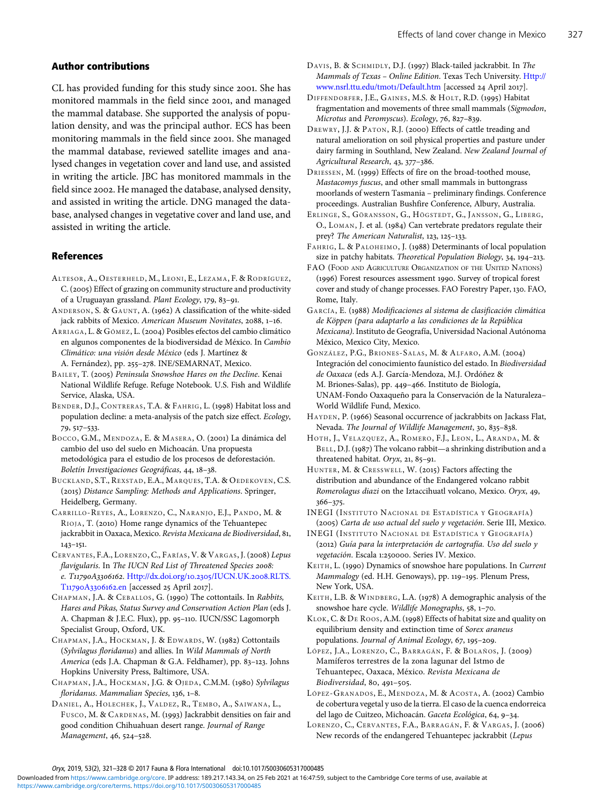#### <span id="page-6-0"></span>Author contributions

CL has provided funding for this study since 2001. She has monitored mammals in the field since 2001, and managed the mammal database. She supported the analysis of population density, and was the principal author. ECS has been monitoring mammals in the field since 2001. She managed the mammal database, reviewed satellite images and analysed changes in vegetation cover and land use, and assisted in writing the article. JBC has monitored mammals in the field since 2002. He managed the database, analysed density, and assisted in writing the article. DNG managed the database, analysed changes in vegetative cover and land use, and assisted in writing the article.

## References

- ALTESOR, A., OESTERHELD, M., LEONI, E., LEZAMA, F. & RODRÍGUEZ, C. (2005) Effect of grazing on community structure and productivity of a Uruguayan grassland. Plant Ecology, 179, 83-91.
- ANDERSON, S. & GAUNT, A. (1962) A classification of the white-sided jack rabbits of Mexico. American Museum Novitates, 2088,  $1-16$ .
- ARRIAGA, L. & GÓMEZ, L. (2004) Posibles efectos del cambio climático en algunos componentes de la biodiversidad de México. In Cambio Climático: una visión desde México (eds J. Martínez & A. Fernández), pp. 255-278. INE/SEMARNAT, Mexico.
- BAILEY, T. (2005) Peninsula Snowshoe Hares on the Decline. Kenai National Wildlife Refuge. Refuge Notebook. U.S. Fish and Wildlife Service, Alaska, USA.
- BENDER, D.J., CONTRERAS, T.A. & FAHRIG, L. (1998) Habitat loss and population decline: a meta-analysis of the patch size effect. Ecology, 79, 517-533.
- BOCCO, G.M., MENDOZA, E. & MASERA, O. (2001) La dinámica del cambio del uso del suelo en Michoacán. Una propuesta metodológica para el estudio de los procesos de deforestación. Boletín Investigaciones Geográficas, 44, 18-38.
- BUCKLAND, S.T., REXSTAD, E.A., MARQUES, T.A. & OEDEKOVEN, C.S. (2015) Distance Sampling: Methods and Applications. Springer, Heidelberg, Germany.
- CARRILLO-REYES, A., LORENZO, C., NARANJO, E.J., PANDO, M. & RIOJA, T. (2010) Home range dynamics of the Tehuantepec jackrabbit in Oaxaca, Mexico. Revista Mexicana de Biodiversidad, 81,  $143 - 151.$
- CERVANTES, F.A., LORENZO, C., FARÍAS, V. & VARGAS, J. (2008) Lepus flavigularis. In The IUCN Red List of Threatened Species 2008: e. T11790A3306162. [Http://dx.doi.org/](http://dx.doi.org/10.2305/IUCN.UK.2008.RLTS.T11790A3306162.en)10.2305/IUCN.UK.2008.RLTS. T11790A3306162.en [accessed 25 April 2017].
- CHAPMAN, J.A. & CEBALLOS, G. (1990) The cottontails. In Rabbits, Hares and Pikas, Status Survey and Conservation Action Plan (eds J. A. Chapman & J.E.C. Flux), pp. 95-110. IUCN/SSC Lagomorph Specialist Group, Oxford, UK.
- CHAPMAN, J.A., HOCKMAN, J. & EDWARDS, W. (1982) Cottontails (Sylvilagus floridanus) and allies. In Wild Mammals of North America (eds J.A. Chapman & G.A. Feldhamer), pp. 83-123. Johns Hopkins University Press, Baltimore, USA.
- CHAPMAN, J.A., HOCKMAN, J.G. & OJEDA, C.M.M. (1980) Sylvilagus floridanus. Mammalian Species, 136, 1-8.
- DANIEL, A., HOLECHEK, J., VALDEZ, R., TEMBO, A., SAIWANA, L., FUSCO, M. & CARDENAS, M. (1993) Jackrabbit densities on fair and good condition Chihuahuan desert range. Journal of Range Management, 46, 524-528.
- DAVIS, B. & SCHMIDLY, D.J. (1997) Black-tailed jackrabbit. In The Mammals of Texas – Online Edition. Texas Tech University. [Http://](http://www.nsrl.ttu.edu/tmot1/Default.htm) [www.nsrl.ttu.edu/tmot](http://www.nsrl.ttu.edu/tmot1/Default.htm)i/Default.htm [accessed 24 April 2017].
- DIFFENDORFER, J.E., GAINES, M.S. & HOLT, R.D. (1995) Habitat fragmentation and movements of three small mammals (Sigmodon, Microtus and Peromyscus). Ecology, 76, 827-839.
- DREWRY, J.J. & PATON, R.J. (2000) Effects of cattle treading and natural amelioration on soil physical properties and pasture under dairy farming in Southland, New Zealand. New Zealand Journal of Agricultural Research, 43, 377-386.
- DRIESSEN, M. (1999) Effects of fire on the broad-toothed mouse, Mastacomys fuscus, and other small mammals in buttongrass moorlands of western Tasmania – preliminary findings. Conference proceedings. Australian Bushfire Conference, Albury, Australia.
- ERLINGE, S., GÖRANSSON, G., HÖGSTEDT, G., JANSSON, G., LIBERG, O., LOMAN, J. et al. (1984) Can vertebrate predators regulate their prey? The American Naturalist,  $123$ ,  $125-133$ .
- FAHRIG, L. & PALOHEIMO, J. (1988) Determinants of local population size in patchy habitats. Theoretical Population Biology,  $34$ ,  $194-213$ .
- FAO (FOOD AND AGRICULTURE ORGANIZATION OF THE UNITED NATIONS) (1996) Forest resources assessment 1990. Survey of tropical forest cover and study of change processes. FAO Forestry Paper, 130. FAO, Rome, Italy.
- GARCÍA, E. (1988) Modificaciones al sistema de clasificación climática de Köppen (para adaptarlo a las condiciones de la República Mexicana). Instituto de Geografía, Universidad Nacional Autónoma México, Mexico City, Mexico.
- GONZÁLEZ, P.G., BRIONES-SALAS, M. & ALFARO, A.M. (2004) Integración del conocimiento faunístico del estado. In Biodiversidad de Oaxaca (eds A.J. García-Mendoza, M.J. Ordóñez & M. Briones-Salas), pp. 449-466. Instituto de Biología, UNAM-Fondo Oaxaqueño para la Conservación de la Naturaleza– World Wildlife Fund, Mexico.
- HAYDEN, P. (1966) Seasonal occurrence of jackrabbits on Jackass Flat, Nevada. The Journal of Wildlife Management, 30, 835-838.
- HOTH, J., VELAZQUEZ, A., ROMERO, F.J., LEON, L., ARANDA, M. & BELL, D.J. (1987) The volcano rabbit—a shrinking distribution and a threatened habitat. Oryx,  $21, 85-91$ .
- HUNTER, M. & CRESSWELL, W. (2015) Factors affecting the distribution and abundance of the Endangered volcano rabbit Romerolagus diazi on the Iztaccihuatl volcano, Mexico. Oryx, 49, 366-375.
- INEGI (INSTITUTO NACIONAL DE ESTADÍSTICA Y GEOGRAFÍA) (2005) Carta de uso actual del suelo y vegetación. Serie III, Mexico.
- INEGI (INSTITUTO NACIONAL DE ESTADÍSTICA Y GEOGRAFÍA) (2012) Guía para la interpretación de cartografía. Uso del suelo y vegetación. Escala 1:250000. Series IV. Mexico.
- KEITH, L. (1990) Dynamics of snowshoe hare populations. In Current Mammalogy (ed. H.H. Genoways), pp. 119-195. Plenum Press, New York, USA.
- KEITH, L.B. & WINDBERG, L.A. (1978) A demographic analysis of the snowshoe hare cycle. Wildlife Monographs, 58, 1-70.
- KLOK, C. & DE ROOS, A.M. (1998) Effects of habitat size and quality on equilibrium density and extinction time of Sorex araneus populations. Journal of Animal Ecology, 67, 195-209.
- LÓPEZ, J.A., LORENZO, C., BARRAGÁN, F. & BOLAÑOS, J. (2009) Mamíferos terrestres de la zona lagunar del Istmo de Tehuantepec, Oaxaca, México. Revista Mexicana de Biodiversidad, 80, 491-505.
- LÓPEZ-GRANADOS, E., MENDOZA, M. & ACOSTA, A. (2002) Cambio de cobertura vegetal y uso de la tierra. El caso de la cuenca endorreica del lago de Cuitzeo, Michoacán. Gaceta Ecológica, 64, 9-34.
- LORENZO, C., CERVANTES, F.A., BARRAGÁN, F. & VARGAS, J. (2006) New records of the endangered Tehuantepec jackrabbit (Lepus